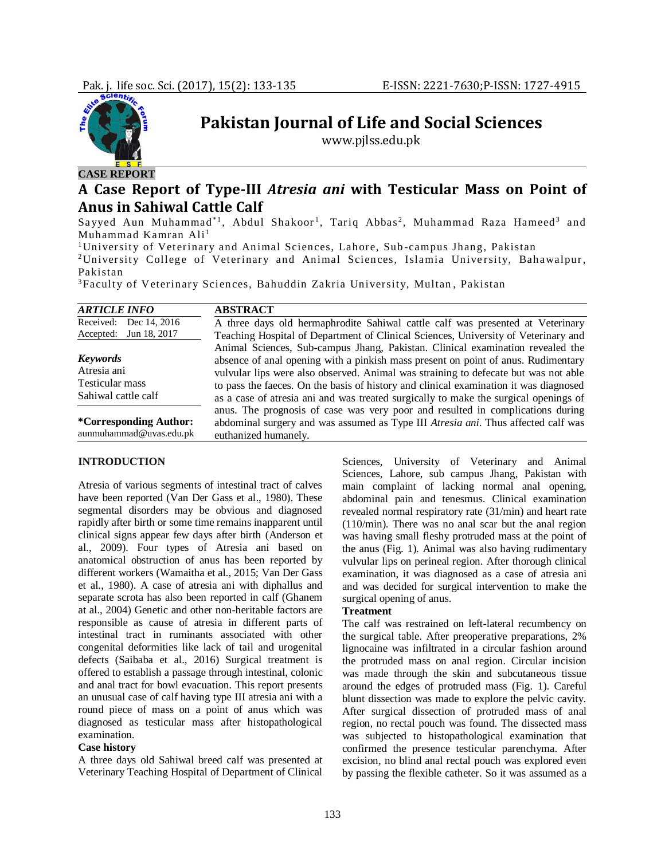

# **CASE REPORT**

## **A Case Report of Type-III** *Atresia ani* **with Testicular Mass on Point of Anus in Sahiwal Cattle Calf**

**Pakistan Journal of Life and Social Sciences** www.pjlss.edu.pk

Sayyed Aun Muhammad\*1, Abdul Shakoor<sup>1</sup>, Tariq Abbas<sup>2</sup>, Muhammad Raza Hameed<sup>3</sup> and Muhammad Kamran Ali<sup>1</sup>

<sup>1</sup>University of Veterinary and Animal Sciences, Lahore, Sub-campus Jhang, Pakistan <sup>2</sup>University College of Veterinary and Animal Sciences, Islamia University, Bahawalpur, Pakistan

<sup>3</sup>Faculty of Veterinary Sciences, Bahuddin Zakria University, Multan, Pakistan

| <b>ARTICLE INFO</b>     | <b>ABSTRACT</b>                                                                      |
|-------------------------|--------------------------------------------------------------------------------------|
| Received: Dec 14, 2016  | A three days old hermaphrodite Sahiwal cattle calf was presented at Veterinary       |
| Accepted: Jun 18, 2017  | Teaching Hospital of Department of Clinical Sciences, University of Veterinary and   |
|                         | Animal Sciences, Sub-campus Jhang, Pakistan. Clinical examination revealed the       |
| <b>Keywords</b>         | absence of anal opening with a pinkish mass present on point of anus. Rudimentary    |
| Atresia ani             | vulvular lips were also observed. Animal was straining to defecate but was not able  |
| Testicular mass         | to pass the faces. On the basis of history and clinical examination it was diagnosed |
| Sahiwal cattle calf     | as a case of atresia ani and was treated surgically to make the surgical openings of |
|                         | anus. The prognosis of case was very poor and resulted in complications during       |
| *Corresponding Author:  | abdominal surgery and was assumed as Type III Atresia ani. Thus affected calf was    |
| aunmuhammad@uvas.edu.pk | euthanized humanely.                                                                 |

#### **INTRODUCTION**

Atresia of various segments of intestinal tract of calves have been reported (Van Der Gass et al., 1980). These segmental disorders may be obvious and diagnosed rapidly after birth or some time remains inapparent until clinical signs appear few days after birth (Anderson et al., 2009). Four types of Atresia ani based on anatomical obstruction of anus has been reported by different workers (Wamaitha et al., 2015; Van Der Gass et al., 1980). A case of atresia ani with diphallus and separate scrota has also been reported in calf (Ghanem at al., 2004) Genetic and other non-heritable factors are responsible as cause of atresia in different parts of intestinal tract in ruminants associated with other congenital deformities like lack of tail and urogenital defects (Saibaba et al., 2016) Surgical treatment is offered to establish a passage through intestinal, colonic and anal tract for bowl evacuation. This report presents an unusual case of calf having type III atresia ani with a round piece of mass on a point of anus which was diagnosed as testicular mass after histopathological examination.

#### **Case history**

A three days old Sahiwal breed calf was presented at Veterinary Teaching Hospital of Department of Clinical

Sciences, University of Veterinary and Animal Sciences, Lahore, sub campus Jhang, Pakistan with main complaint of lacking normal anal opening, abdominal pain and tenesmus. Clinical examination revealed normal respiratory rate (31/min) and heart rate (110/min). There was no anal scar but the anal region was having small fleshy protruded mass at the point of the anus (Fig. 1). Animal was also having rudimentary vulvular lips on perineal region. After thorough clinical examination, it was diagnosed as a case of atresia ani and was decided for surgical intervention to make the surgical opening of anus.

#### **Treatment**

The calf was restrained on left-lateral recumbency on the surgical table. After preoperative preparations, 2% lignocaine was infiltrated in a circular fashion around the protruded mass on anal region. Circular incision was made through the skin and subcutaneous tissue around the edges of protruded mass (Fig. 1). Careful blunt dissection was made to explore the pelvic cavity. After surgical dissection of protruded mass of anal region, no rectal pouch was found. The dissected mass was subjected to histopathological examination that confirmed the presence testicular parenchyma. After excision, no blind anal rectal pouch was explored even by passing the flexible catheter. So it was assumed as a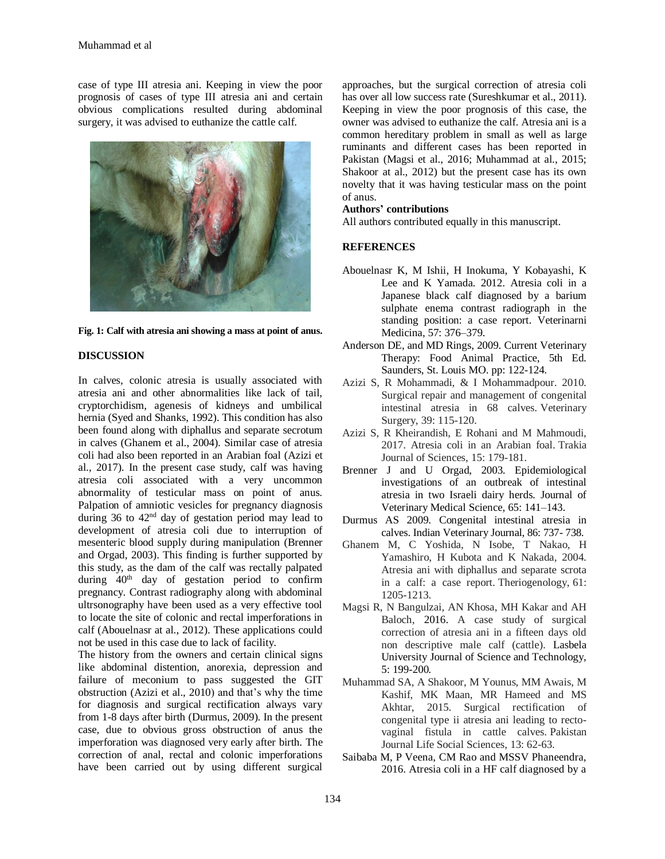case of type III atresia ani. Keeping in view the poor prognosis of cases of type III atresia ani and certain obvious complications resulted during abdominal surgery, it was advised to euthanize the cattle calf.



**Fig. 1: Calf with atresia ani showing a mass at point of anus.**

## **DISCUSSION**

In calves, colonic atresia is usually associated with atresia ani and other abnormalities like lack of tail, cryptorchidism, agenesis of kidneys and umbilical hernia (Syed and Shanks, 1992). This condition has also been found along with diphallus and separate secrotum in calves (Ghanem et al., 2004). Similar case of atresia coli had also been reported in an Arabian foal (Azizi et al., 2017). In the present case study, calf was having atresia coli associated with a very uncommon abnormality of testicular mass on point of anus. Palpation of amniotic vesicles for pregnancy diagnosis during 36 to 42nd day of gestation period may lead to development of atresia coli due to interruption of mesenteric blood supply during manipulation (Brenner and Orgad, 2003). This finding is further supported by this study, as the dam of the calf was rectally palpated during  $40<sup>th</sup>$  day of gestation period to confirm pregnancy. Contrast radiography along with abdominal ultrsonography have been used as a very effective tool to locate the site of colonic and rectal imperforations in calf (Abouelnasr at al., 2012). These applications could not be used in this case due to lack of facility.

The history from the owners and certain clinical signs like abdominal distention, anorexia, depression and failure of meconium to pass suggested the GIT obstruction (Azizi et al., 2010) and that's why the time for diagnosis and surgical rectification always vary from 1-8 days after birth (Durmus, 2009). In the present case, due to obvious gross obstruction of anus the imperforation was diagnosed very early after birth. The correction of anal, rectal and colonic imperforations have been carried out by using different surgical

approaches, but the surgical correction of atresia coli has over all low success rate (Sureshkumar et al., 2011). Keeping in view the poor prognosis of this case, the owner was advised to euthanize the calf. Atresia ani is a common hereditary problem in small as well as large ruminants and different cases has been reported in Pakistan (Magsi et al., 2016; Muhammad at al., 2015; Shakoor at al., 2012) but the present case has its own novelty that it was having testicular mass on the point of anus.

#### **Authors' contributions**

All authors contributed equally in this manuscript.

### **REFERENCES**

- Abouelnasr K, M Ishii, H Inokuma, Y Kobayashi, K Lee and K Yamada. 2012. Atresia coli in a Japanese black calf diagnosed by a barium sulphate enema contrast radiograph in the standing position: a case report. Veterinarni Medicina, 57: 376–379.
- Anderson DE, and MD Rings, 2009. Current Veterinary Therapy: Food Animal Practice, 5th Ed. Saunders, St. Louis MO. pp: 122-124.
- Azizi S, R Mohammadi, & I Mohammadpour. 2010. Surgical repair and management of congenital intestinal atresia in 68 calves. Veterinary Surgery, 39: 115-120.
- Azizi S, R Kheirandish, E Rohani and M Mahmoudi, 2017. Atresia coli in an Arabian foal. Trakia Journal of Sciences, 15: 179-181.
- Brenner J and U Orgad, 2003. Epidemiological investigations of an outbreak of intestinal atresia in two Israeli dairy herds. Journal of Veterinary Medical Science, 65: 141–143.
- Durmus AS 2009. Congenital intestinal atresia in calves. Indian Veterinary Journal, 86: 737- 738.
- Ghanem M, C Yoshida, N Isobe, T Nakao, H Yamashiro, H Kubota and K Nakada, 2004. Atresia ani with diphallus and separate scrota in a calf: a case report. Theriogenology, 61: 1205-1213.
- Magsi R, N Bangulzai, AN Khosa, MH Kakar and AH Baloch, 2016. A case study of surgical correction of atresia ani in a fifteen days old non descriptive male calf (cattle). Lasbela University Journal of Science and Technology, 5: 199-200*.*
- Muhammad SA, A Shakoor, M Younus, MM Awais, M Kashif, MK Maan, MR Hameed and MS Akhtar, 2015. Surgical rectification of congenital type ii atresia ani leading to rectovaginal fistula in cattle calves. Pakistan Journal Life Social Sciences, 13: 62-63.
- Saibaba M, P Veena, CM Rao and MSSV Phaneendra, 2016. Atresia coli in a HF calf diagnosed by a